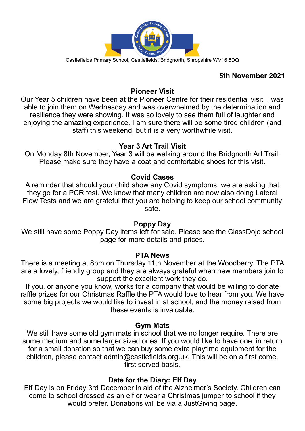

## **5th November 2021**

#### **Pioneer Visit**

Our Year 5 children have been at the Pioneer Centre for their residential visit. I was able to join them on Wednesday and was overwhelmed by the determination and resilience they were showing. It was so lovely to see them full of laughter and enjoying the amazing experience. I am sure there will be some tired children (and staff) this weekend, but it is a very worthwhile visit.

#### **Year 3 Art Trail Visit**

On Monday 8th November, Year 3 will be walking around the Bridgnorth Art Trail. Please make sure they have a coat and comfortable shoes for this visit.

#### **Covid Cases**

A reminder that should your child show any Covid symptoms, we are asking that they go for a PCR test. We know that many children are now also doing Lateral Flow Tests and we are grateful that you are helping to keep our school community safe.

#### **Poppy Day**

We still have some Poppy Day items left for sale. Please see the ClassDojo school page for more details and prices.

#### **PTA News**

There is a meeting at 8pm on Thursday 11th November at the Woodberry. The PTA are a lovely, friendly group and they are always grateful when new members join to support the excellent work they do.

If you, or anyone you know, works for a company that would be willing to donate raffle prizes for our Christmas Raffle the PTA would love to hear from you. We have some big projects we would like to invest in at school, and the money raised from these events is invaluable.

#### **Gym Mats**

We still have some old gym mats in school that we no longer require. There are some medium and some larger sized ones. If you would like to have one, in return for a small donation so that we can buy some extra playtime equipment for the children, please contact admin@castlefields.org.uk. This will be on a first come, first served basis.

## **Date for the Diary: Elf Day**

Elf Day is on Friday 3rd December in aid of the Alzheimer's Society. Children can come to school dressed as an elf or wear a Christmas jumper to school if they would prefer. Donations will be via a JustGiving page.